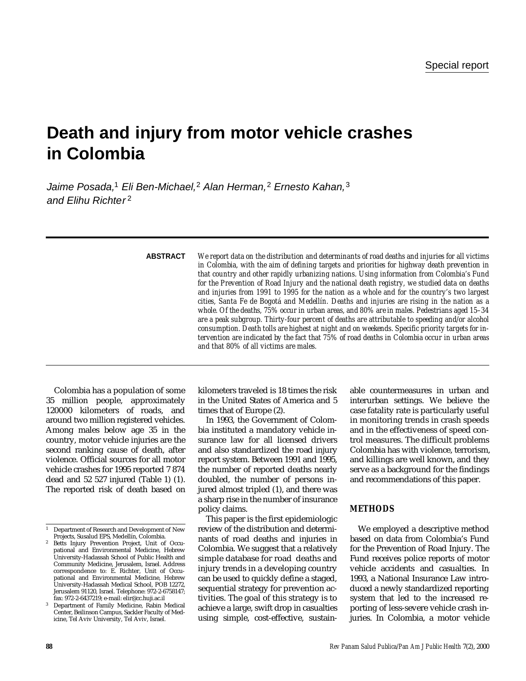# **Death and injury from motor vehicle crashes in Colombia**

Jaime Posada,<sup>1</sup> Eli Ben-Michael,<sup>2</sup> Alan Herman,<sup>2</sup> Ernesto Kahan,<sup>3</sup> and Elihu Richter 2

| <b>ABSTRACT</b> | We report data on the distribution and determinants of road deaths and injuries for all victims<br>in Colombia, with the aim of defining targets and priorities for highway death prevention in<br>that country and other rapidly urbanizing nations. Using information from Colombia's Fund<br>for the Prevention of Road Injury and the national death registry, we studied data on deaths<br>and injuries from 1991 to 1995 for the nation as a whole and for the country's two largest<br>cities, Santa Fe de Bogotá and Medellín. Deaths and injuries are rising in the nation as a<br>whole. Of the deaths, 75% occur in urban areas, and 80% are in males. Pedestrians aged 15-34<br>are a peak subgroup. Thirty-four percent of deaths are attributable to speeding and/or alcohol<br>consumption. Death tolls are highest at night and on weekends. Specific priority targets for in-<br>tervention are indicated by the fact that 75% of road deaths in Colombia occur in urban areas<br>and that 80% of all victims are males. |
|-----------------|-------------------------------------------------------------------------------------------------------------------------------------------------------------------------------------------------------------------------------------------------------------------------------------------------------------------------------------------------------------------------------------------------------------------------------------------------------------------------------------------------------------------------------------------------------------------------------------------------------------------------------------------------------------------------------------------------------------------------------------------------------------------------------------------------------------------------------------------------------------------------------------------------------------------------------------------------------------------------------------------------------------------------------------------|
|                 |                                                                                                                                                                                                                                                                                                                                                                                                                                                                                                                                                                                                                                                                                                                                                                                                                                                                                                                                                                                                                                           |

Colombia has a population of some 35 million people, approximately 1 20000 kilometers of roads, and around two million registered vehicles. Among males below age 35 in the country, motor vehicle injuries are the second ranking cause of death, after violence. Official sources for all motor vehicle crashes for 1995 reported 7 874 dead and 52 527 injured (Table 1) (1). The reported risk of death based on kilometers traveled is 18 times the risk in the United States of America and 5 times that of Europe (2).

In 1993, the Government of Colombia instituted a mandatory vehicle insurance law for all licensed drivers and also standardized the road injury report system. Between 1991 and 1995, the number of reported deaths nearly doubled, the number of persons injured almost tripled (1), and there was a sharp rise in the number of insurance policy claims.

This paper is the first epidemiologic review of the distribution and determinants of road deaths and injuries in Colombia. We suggest that a relatively simple database for road deaths and injury trends in a developing country can be used to quickly define a staged, sequential strategy for prevention activities. The goal of this strategy is to achieve a large, swift drop in casualties using simple, cost-effective, sustain-

able countermeasures in urban and interurban settings. We believe the case fatality rate is particularly useful in monitoring trends in crash speeds and in the effectiveness of speed control measures. The difficult problems Colombia has with violence, terrorism, and killings are well known, and they serve as a background for the findings and recommendations of this paper.

# **METHODS**

We employed a descriptive method based on data from Colombia's Fund for the Prevention of Road Injury. The Fund receives police reports of motor vehicle accidents and casualties. In 1993, a National Insurance Law introduced a newly standardized reporting system that led to the increased reporting of less-severe vehicle crash injuries. In Colombia, a motor vehicle

<sup>1</sup> Department of Research and Development of New Projects, Susalud EPS, Medellín, Colombia.

Betts Injury Prevention Project, Unit of Occupational and Environmental Medicine, Hebrew University-Hadassah School of Public Health and Community Medicine, Jerusalem, Israel. Address correspondence to: E. Richter, Unit of Occupational and Environmental Medicine, Hebrew University-Hadassah Medical School, POB 12272, Jerusalem 91120, Israel. Telephone: 972-2-6758147; fax: 972-2-6437219; e-mail: elir@cc.huji.ac.il

<sup>3</sup> Department of Family Medicine, Rabin Medical Center, Beilinson Campus, Sackler Faculty of Medicine, Tel Aviv University, Tel Aviv, Israel.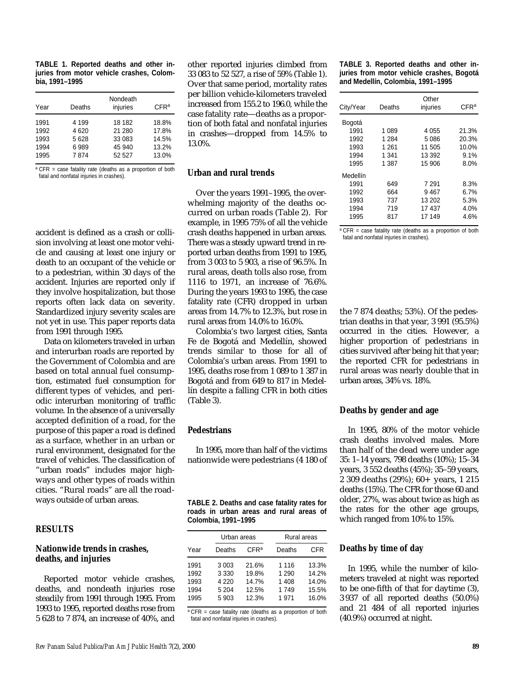| TABLE 1. Reported deaths and other in-    |  |  |
|-------------------------------------------|--|--|
| juries from motor vehicle crashes, Colom- |  |  |
| bia. 1991-1995                            |  |  |

| Year | Deaths  | Nondeath<br>injuries | CFR <sup>a</sup> |
|------|---------|----------------------|------------------|
| 1991 | 4 1 9 9 | 18 182               | 18.8%            |
| 1992 | 4620    | 21 280               | 17.8%            |
| 1993 | 5628    | 33 083               | 14.5%            |
| 1994 | 6989    | 45 940               | 13.2%            |
| 1995 | 7874    | 52 527               | 13.0%            |

a CFR = case fatality rate (deaths as a proportion of both fatal and nonfatal injuries in crashes).

accident is defined as a crash or collision involving at least one motor vehicle and causing at least one injury or death to an occupant of the vehicle or to a pedestrian, within 30 days of the accident. Injuries are reported only if they involve hospitalization, but those reports often lack data on severity. Standardized injury severity scales are not yet in use. This paper reports data from 1991 through 1995.

Data on kilometers traveled in urban and interurban roads are reported by the Government of Colombia and are based on total annual fuel consumption, estimated fuel consumption for different types of vehicles, and periodic interurban monitoring of traffic volume. In the absence of a universally accepted definition of a road, for the purpose of this paper a road is defined as a surface, whether in an urban or rural environment, designated for the travel of vehicles. The classification of "urban roads" includes major highways and other types of roads within cities. "Rural roads" are all the roadways outside of urban areas.

# **RESULTS**

#### **Nationwide trends in crashes, deaths, and injuries**

Reported motor vehicle crashes, deaths, and nondeath injuries rose steadily from 1991 through 1995. From 1993 to 1995, reported deaths rose from 5 628 to 7 874, an increase of 40%, and other reported injuries climbed from 33 083 to 52 527, a rise of 59% (Table 1). Over that same period, mortality rates per billion vehicle-kilometers traveled increased from 155.2 to 196.0, while the case fatality rate—deaths as a proportion of both fatal and nonfatal injuries in crashes—dropped from 14.5% to 13.0%.

#### **Urban and rural trends**

Over the years 1991–1995, the overwhelming majority of the deaths occurred on urban roads (Table 2). For example, in 1995 75% of all the vehicle crash deaths happened in urban areas. There was a steady upward trend in reported urban deaths from 1991 to 1995, from 3 003 to 5 903, a rise of 96.5%. In rural areas, death tolls also rose, from 1116 to 1971, an increase of 76.6%. During the years 1993 to 1995, the case fatality rate (CFR) dropped in urban areas from 14.7% to 12.3%, but rose in rural areas from 14.0% to 16.0%.

Colombia's two largest cities, Santa Fe de Bogotá and Medellín, showed trends similar to those for all of Colombia's urban areas. From 1991 to 1995, deaths rose from 1 089 to 1 387 in Bogotá and from 649 to 817 in Medellín despite a falling CFR in both cities (Table 3).

# **Pedestrians**

In 1995, more than half of the victims nationwide were pedestrians (4 180 of

|  | TABLE 2. Deaths and case fatality rates for |  |  |  |
|--|---------------------------------------------|--|--|--|
|  | roads in urban areas and rural areas of     |  |  |  |
|  | Colombia, 1991–1995                         |  |  |  |

|                                      | Urban areas                                       |                                           | Rural areas                                 |                                           |
|--------------------------------------|---------------------------------------------------|-------------------------------------------|---------------------------------------------|-------------------------------------------|
| Year                                 | Deaths                                            | CFR <sup>a</sup>                          | Deaths                                      | CFR                                       |
| 1991<br>1992<br>1993<br>1994<br>1995 | 3 0 0 3<br>3 3 3 0<br>4 2 2 0<br>5 2 0 4<br>5 903 | 21.6%<br>19.8%<br>14.7%<br>12.5%<br>12.3% | 1 1 1 6<br>1 2 9 0<br>1408<br>1 749<br>1971 | 13.3%<br>14.2%<br>14.0%<br>15.5%<br>16.0% |
|                                      |                                                   |                                           |                                             |                                           |

 $\overline{P}$  = case fatality rate (deaths as a proportion of both fatal and nonfatal injuries in crashes).

**TABLE 3. Reported deaths and other injuries from motor vehicle crashes, Bogotá and Medellín, Colombia, 1991–1995**

| City/Year<br>Deaths |         | Other<br>injuries |       |
|---------------------|---------|-------------------|-------|
| Bogotá              |         |                   |       |
| 1991                | 1 089   | 4 0 5 5           | 21.3% |
| 1992                | 1 2 8 4 | 5 0 8 6           | 20.3% |
| 1993                | 1 2 6 1 | 11 505            | 10.0% |
| 1994                | 1 341   | 13 392            | 9.1%  |
| 1995                | 1 387   | 15 906            | 8.0%  |
| Medellín            |         |                   |       |
| 1991                | 649     | 7 2 9 1           | 8.3%  |
| 1992                | 664     | 9467              | 6.7%  |
| 1993                | 737     | 13 20 2           | 5.3%  |
| 1994                | 719     | 17437             | 4.0%  |
| 1995                | 817     | 17 149            | 4.6%  |

a CFR = case fatality rate (deaths as a proportion of both fatal and nonfatal injuries in crashes).

the 7 874 deaths; 53%). Of the pedestrian deaths in that year, 3 991 (95.5%) occurred in the cities. However, a higher proportion of pedestrians in cities survived after being hit that year; the reported CFR for pedestrians in rural areas was nearly double that in urban areas, 34% vs. 18%.

#### **Deaths by gender and age**

In 1995, 80% of the motor vehicle crash deaths involved males. More than half of the dead were under age 35: 1–14 years, 798 deaths (10%); 15–34 years, 3 552 deaths (45%); 35–59 years, 2 309 deaths (29%); 60+ years, 1 215 deaths (15%). The CFR for those 60 and older, 27%, was about twice as high as the rates for the other age groups, which ranged from 10% to 15%.

#### **Deaths by time of day**

In 1995, while the number of kilometers traveled at night was reported to be one-fifth of that for daytime (3), 3 937 of all reported deaths (50.0%) and 21 484 of all reported injuries (40.9%) occurred at night.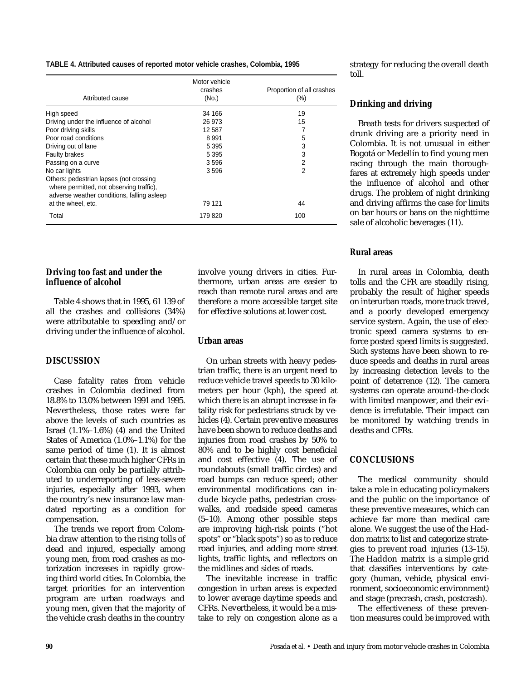#### **TABLE 4. Attributed causes of reported motor vehicle crashes, Colombia, 1995**

| Attributed cause                                                                                                                                        | Motor vehicle<br>crashes<br>(No.) | Proportion of all crashes<br>$(\% )$ |
|---------------------------------------------------------------------------------------------------------------------------------------------------------|-----------------------------------|--------------------------------------|
| High speed                                                                                                                                              | 34 166                            | 19                                   |
| Driving under the influence of alcohol                                                                                                                  | 26 973                            | 15                                   |
| Poor driving skills                                                                                                                                     | 12 587                            | 7                                    |
| Poor road conditions                                                                                                                                    | 8 9 9 1                           | 5                                    |
| Driving out of lane                                                                                                                                     | 5 3 9 5                           | 3                                    |
| <b>Faulty brakes</b>                                                                                                                                    | 5 3 9 5                           | 3                                    |
| Passing on a curve                                                                                                                                      | 3596                              | 2                                    |
| No car lights                                                                                                                                           | 3596                              | 2                                    |
| Others: pedestrian lapses (not crossing<br>where permitted, not observing traffic),<br>adverse weather conditions, falling asleep<br>at the wheel, etc. | 79 121                            | 44                                   |
| Total                                                                                                                                                   | 179 820                           | 100                                  |

#### **Driving too fast and under the influence of alcohol**

Table 4 shows that in 1995, 61 139 of all the crashes and collisions (34%) were attributable to speeding and/or driving under the influence of alcohol.

#### **DISCUSSION**

Case fatality rates from vehicle crashes in Colombia declined from 18.8% to 13.0% between 1991 and 1995. Nevertheless, those rates were far above the levels of such countries as Israel (1.1%–1.6%) (4) and the United States of America (1.0%–1.1%) for the same period of time (1). It is almost certain that these much higher CFRs in Colombia can only be partially attributed to underreporting of less-severe injuries, especially after 1993, when the country's new insurance law mandated reporting as a condition for compensation.

The trends we report from Colombia draw attention to the rising tolls of dead and injured, especially among young men, from road crashes as motorization increases in rapidly growing third world cities. In Colombia, the target priorities for an intervention program are urban roadways and young men, given that the majority of the vehicle crash deaths in the country

involve young drivers in cities. Furthermore, urban areas are easier to reach than remote rural areas and are therefore a more accessible target site for effective solutions at lower cost.

#### **Urban areas**

On urban streets with heavy pedestrian traffic, there is an urgent need to reduce vehicle travel speeds to 30 kilometers per hour (kph), the speed at which there is an abrupt increase in fatality risk for pedestrians struck by vehicles (4). Certain preventive measures have been shown to reduce deaths and injuries from road crashes by 50% to 80% and to be highly cost beneficial and cost effective (4). The use of roundabouts (small traffic circles) and road bumps can reduce speed; other environmental modifications can include bicycle paths, pedestrian crosswalks, and roadside speed cameras (5–10). Among other possible steps are improving high-risk points ("hot spots" or "black spots") so as to reduce road injuries, and adding more street lights, traffic lights, and reflectors on the midlines and sides of roads.

The inevitable increase in traffic congestion in urban areas is expected to lower average daytime speeds and CFRs. Nevertheless, it would be a mistake to rely on congestion alone as a strategy for reducing the overall death toll.

#### **Drinking and driving**

Breath tests for drivers suspected of drunk driving are a priority need in Colombia. It is not unusual in either Bogotá or Medellín to find young men racing through the main thoroughfares at extremely high speeds under the influence of alcohol and other drugs. The problem of night drinking and driving affirms the case for limits on bar hours or bans on the nighttime sale of alcoholic beverages (11).

#### **Rural areas**

In rural areas in Colombia, death tolls and the CFR are steadily rising, probably the result of higher speeds on interurban roads, more truck travel, and a poorly developed emergency service system. Again, the use of electronic speed camera systems to enforce posted speed limits is suggested. Such systems have been shown to reduce speeds and deaths in rural areas by increasing detection levels to the point of deterrence (12). The camera systems can operate around-the-clock with limited manpower, and their evidence is irrefutable. Their impact can be monitored by watching trends in deaths and CFRs.

#### **CONCLUSIONS**

The medical community should take a role in educating policymakers and the public on the importance of these preventive measures, which can achieve far more than medical care alone. We suggest the use of the Haddon matrix to list and categorize strategies to prevent road injuries (13–15). The Haddon matrix is a simple grid that classifies interventions by category (human, vehicle, physical environment, socioeconomic environment) and stage (precrash, crash, postcrash).

The effectiveness of these prevention measures could be improved with